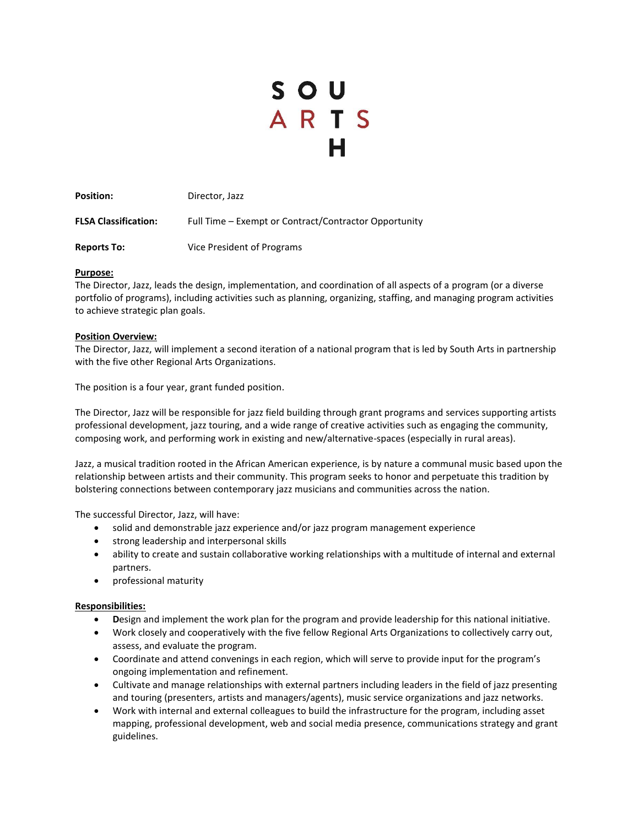# SOU<br>ARTS H

Position: Director, Jazz FLSA Classification: Full Time – Exempt or Contract/Contractor Opportunity **Reports To:** Vice President of Programs

## **Purpose:**

The Director, Jazz, leads the design, implementation, and coordination of all aspects of a program (or a diverse portfolio of programs), including activities such as planning, organizing, staffing, and managing program activities to achieve strategic plan goals.

## **Position Overview:**

The Director, Jazz, will implement a second iteration of a national program that is led by South Arts in partnership with the five other Regional Arts Organizations.

The position is a four year, grant funded position.

The Director, Jazz will be responsible for jazz field building through grant programs and services supporting artists professional development, jazz touring, and a wide range of creative activities such as engaging the community, composing work, and performing work in existing and new/alternative-spaces (especially in rural areas).

Jazz, a musical tradition rooted in the African American experience, is by nature a communal music based upon the relationship between artists and their community. This program seeks to honor and perpetuate this tradition by bolstering connections between contemporary jazz musicians and communities across the nation.

The successful Director, Jazz, will have:

- solid and demonstrable jazz experience and/or jazz program management experience
- strong leadership and interpersonal skills
- ability to create and sustain collaborative working relationships with a multitude of internal and external partners.
- professional maturity

### **Responsibilities:**

- **D**esign and implement the work plan for the program and provide leadership for this national initiative.
- Work closely and cooperatively with the five fellow Regional Arts Organizations to collectively carry out, assess, and evaluate the program.
- Coordinate and attend convenings in each region, which will serve to provide input for the program's ongoing implementation and refinement.
- Cultivate and manage relationships with external partners including leaders in the field of jazz presenting and touring (presenters, artists and managers/agents), music service organizations and jazz networks.
- Work with internal and external colleagues to build the infrastructure for the program, including asset mapping, professional development, web and social media presence, communications strategy and grant guidelines.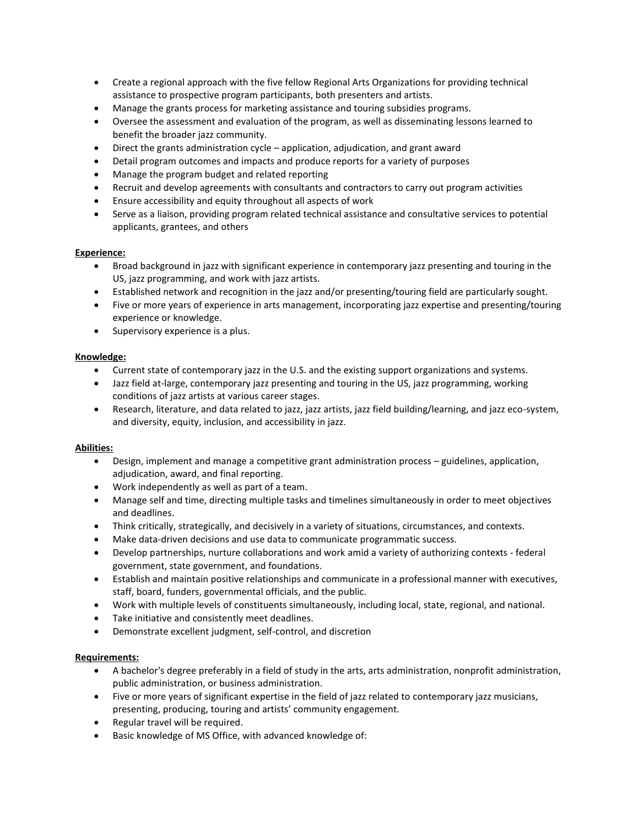- Create a regional approach with the five fellow Regional Arts Organizations for providing technical assistance to prospective program participants, both presenters and artists.
- Manage the grants process for marketing assistance and touring subsidies programs.
- Oversee the assessment and evaluation of the program, as well as disseminating lessons learned to benefit the broader jazz community.
- Direct the grants administration cycle application, adjudication, and grant award
- Detail program outcomes and impacts and produce reports for a variety of purposes
- Manage the program budget and related reporting
- Recruit and develop agreements with consultants and contractors to carry out program activities
- Ensure accessibility and equity throughout all aspects of work
- Serve as a liaison, providing program related technical assistance and consultative services to potential applicants, grantees, and others

# **Experience:**

- Broad background in jazz with significant experience in contemporary jazz presenting and touring in the US, jazz programming, and work with jazz artists.
- Established network and recognition in the jazz and/or presenting/touring field are particularly sought.
- Five or more years of experience in arts management, incorporating jazz expertise and presenting/touring experience or knowledge.
- Supervisory experience is a plus.

# **Knowledge:**

- Current state of contemporary jazz in the U.S. and the existing support organizations and systems.
- Jazz field at-large, contemporary jazz presenting and touring in the US, jazz programming, working conditions of jazz artists at various career stages.
- Research, literature, and data related to jazz, jazz artists, jazz field building/learning, and jazz eco-system, and diversity, equity, inclusion, and accessibility in jazz.

# **Abilities:**

- Design, implement and manage a competitive grant administration process guidelines, application, adjudication, award, and final reporting.
- Work independently as well as part of a team.
- Manage self and time, directing multiple tasks and timelines simultaneously in order to meet objectives and deadlines.
- Think critically, strategically, and decisively in a variety of situations, circumstances, and contexts.
- Make data-driven decisions and use data to communicate programmatic success.
- Develop partnerships, nurture collaborations and work amid a variety of authorizing contexts federal government, state government, and foundations.
- Establish and maintain positive relationships and communicate in a professional manner with executives, staff, board, funders, governmental officials, and the public.
- Work with multiple levels of constituents simultaneously, including local, state, regional, and national.
- Take initiative and consistently meet deadlines.
- Demonstrate excellent judgment, self-control, and discretion

# **Requirements:**

- A bachelor's degree preferably in a field of study in the arts, arts administration, nonprofit administration, public administration, or business administration.
- Five or more years of significant expertise in the field of jazz related to contemporary jazz musicians, presenting, producing, touring and artists' community engagement.
- Regular travel will be required.
- Basic knowledge of MS Office, with advanced knowledge of: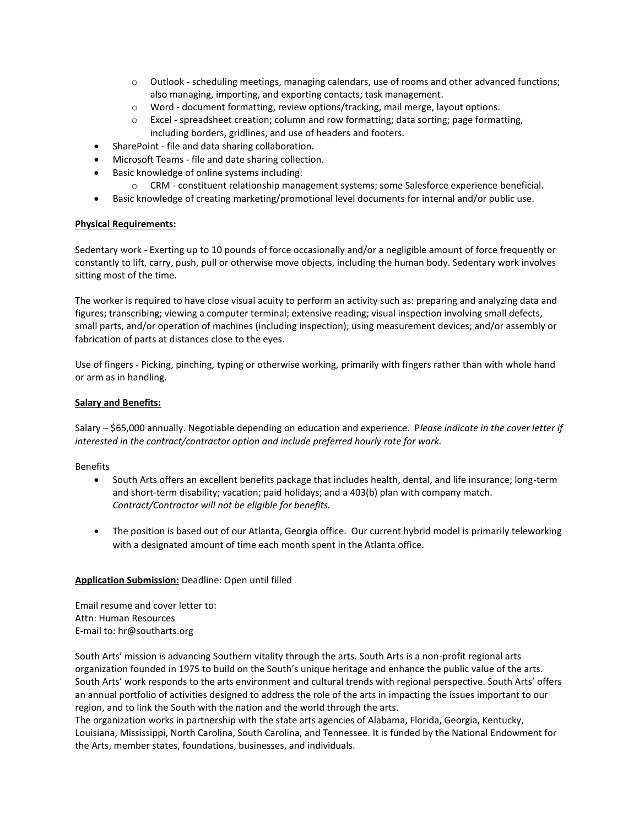- $\circ$  Outlook scheduling meetings, managing calendars, use of rooms and other advanced functions; also managing, importing, and exporting contacts; task management.
- o Word document formatting, review options/tracking, mail merge, layout options.
- o Excel spreadsheet creation; column and row formatting; data sorting; page formatting, including borders, gridlines, and use of headers and footers.
- SharePoint file and data sharing collaboration.
- Microsoft Teams file and date sharing collection.
- Basic knowledge of online systems including:
	- o CRM constituent relationship management systems; some Salesforce experience beneficial.
- Basic knowledge of creating marketing/promotional level documents for internal and/or public use.

### **Physical Requirements:**

Sedentary work - Exerting up to 10 pounds of force occasionally and/or a negligible amount of force frequently or constantly to lift, carry, push, pull or otherwise move objects, including the human body. Sedentary work involves sitting most of the time.

The worker is required to have close visual acuity to perform an activity such as: preparing and analyzing data and figures; transcribing; viewing a computer terminal; extensive reading; visual inspection involving small defects, small parts, and/or operation of machines (including inspection); using measurement devices; and/or assembly or fabrication of parts at distances close to the eyes.

Use of fingers - Picking, pinching, typing or otherwise working, primarily with fingers rather than with whole hand or arm as in handling.

## **Salary and Benefits:**

Salary – \$65,000 annually. Negotiable depending on education and experience. P*lease indicate in the cover letter if interested in the contract/contractor option and include preferred hourly rate for work.* 

Benefits

- South Arts offers an excellent benefits package that includes health, dental, and life insurance; long-term and short-term disability; vacation; paid holidays; and a 403(b) plan with company match. *Contract/Contractor will not be eligible for benefits.*
- The position is based out of our Atlanta, Georgia office. Our current hybrid model is primarily teleworking with a designated amount of time each month spent in the Atlanta office.

# **Application Submission:** Deadline: Open until filled

Email resume and cover letter to: Attn: Human Resources E-mail to: hr@southarts.org

South Arts' mission is advancing Southern vitality through the arts. South Arts is a non-profit regional arts organization founded in 1975 to build on the South's unique heritage and enhance the public value of the arts. South Arts' work responds to the arts environment and cultural trends with regional perspective. South Arts' offers an annual portfolio of activities designed to address the role of the arts in impacting the issues important to our region, and to link the South with the nation and the world through the arts.

The organization works in partnership with the state arts agencies of Alabama, Florida, Georgia, Kentucky, Louisiana, Mississippi, North Carolina, South Carolina, and Tennessee. It is funded by the National Endowment for the Arts, member states, foundations, businesses, and individuals.